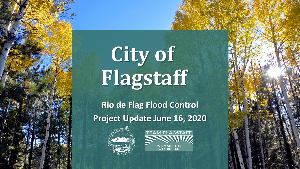# City of **Flagstaff**

**Rio de Flag Flood Control Project Update June 16, 2020** 



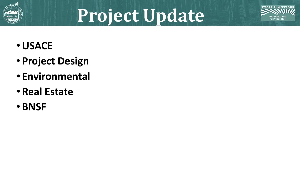

## **Project Update**



- •**USACE**
- **Project Design**
- **Environmental**
- **Real Estate**
- **BNSF**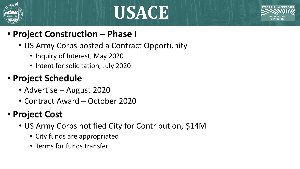

### **USACE**



- **Project Construction – Phase I**
	- US Army Corps posted a Contract Opportunity
		- Inquiry of Interest, May 2020
		- Intent for solicitation, July 2020

#### • **Project Schedule**

- Advertise August 2020
- Contract Award October 2020

#### • **Project Cost**

- US Army Corps notified City for Contribution, \$14M
	- City funds are appropriated
	- Terms for funds transfer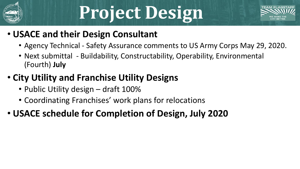

## **Project Design**



#### • **USACE and their Design Consultant**

- Agency Technical Safety Assurance comments to US Army Corps May 29, 2020.
- Next submittal Buildability, Constructability, Operability, Environmental (Fourth) **July**

#### • **City Utility and Franchise Utility Designs**

- Public Utility design draft 100%
- Coordinating Franchises' work plans for relocations

#### • **USACE schedule for Completion of Design, July 2020**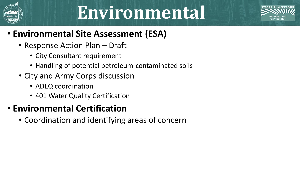

### **Environmental**



#### • **Environmental Site Assessment (ESA)**

- Response Action Plan Draft
	- City Consultant requirement
	- Handling of potential petroleum-contaminated soils
- City and Army Corps discussion
	- ADEQ coordination
	- 401 Water Quality Certification

#### • **Environmental Certification**

• Coordination and identifying areas of concern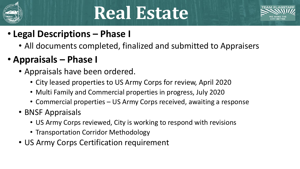

### **Real Estate**



- **Legal Descriptions – Phase I**
	- All documents completed, finalized and submitted to Appraisers
- **Appraisals – Phase I**
	- Appraisals have been ordered.
		- City leased properties to US Army Corps for review, April 2020
		- Multi Family and Commercial properties in progress, July 2020
		- Commercial properties US Army Corps received, awaiting a response
	- BNSF Appraisals
		- US Army Corps reviewed, City is working to respond with revisions
		- Transportation Corridor Methodology
	- US Army Corps Certification requirement